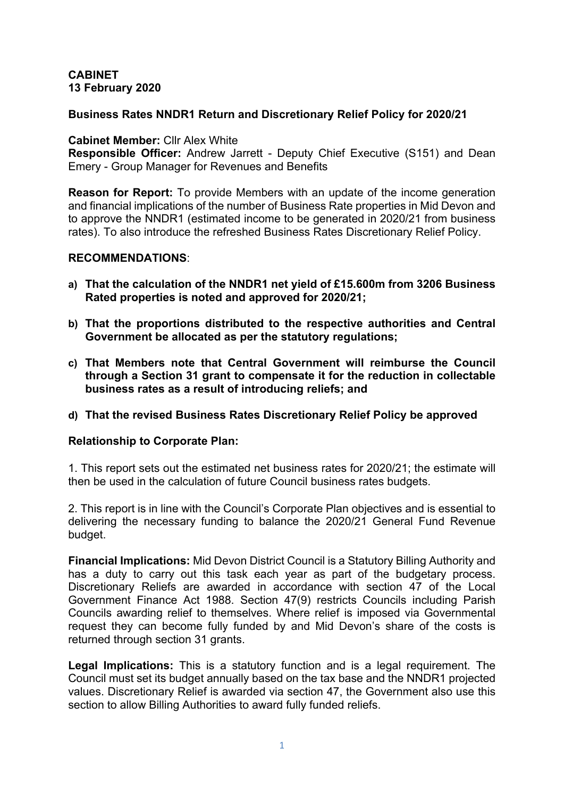### **CABINET 13 February 2020**

## **Business Rates NNDR1 Return and Discretionary Relief Policy for 2020/21**

#### **Cabinet Member:** Cllr Alex White

**Responsible Officer:** Andrew Jarrett - Deputy Chief Executive (S151) and Dean Emery - Group Manager for Revenues and Benefits

**Reason for Report:** To provide Members with an update of the income generation and financial implications of the number of Business Rate properties in Mid Devon and to approve the NNDR1 (estimated income to be generated in 2020/21 from business rates). To also introduce the refreshed Business Rates Discretionary Relief Policy.

#### **RECOMMENDATIONS**:

- **a) That the calculation of the NNDR1 net yield of £15.600m from 3206 Business Rated properties is noted and approved for 2020/21;**
- **b) That the proportions distributed to the respective authorities and Central Government be allocated as per the statutory regulations;**
- **c) That Members note that Central Government will reimburse the Council through a Section 31 grant to compensate it for the reduction in collectable business rates as a result of introducing reliefs; and**

### **d) That the revised Business Rates Discretionary Relief Policy be approved**

### **Relationship to Corporate Plan:**

1. This report sets out the estimated net business rates for 2020/21; the estimate will then be used in the calculation of future Council business rates budgets.

2. This report is in line with the Council's Corporate Plan objectives and is essential to delivering the necessary funding to balance the 2020/21 General Fund Revenue budget.

**Financial Implications:** Mid Devon District Council is a Statutory Billing Authority and has a duty to carry out this task each year as part of the budgetary process. Discretionary Reliefs are awarded in accordance with section 47 of the Local Government Finance Act 1988. Section 47(9) restricts Councils including Parish Councils awarding relief to themselves. Where relief is imposed via Governmental request they can become fully funded by and Mid Devon's share of the costs is returned through section 31 grants.

**Legal Implications:** This is a statutory function and is a legal requirement. The Council must set its budget annually based on the tax base and the NNDR1 projected values. Discretionary Relief is awarded via section 47, the Government also use this section to allow Billing Authorities to award fully funded reliefs.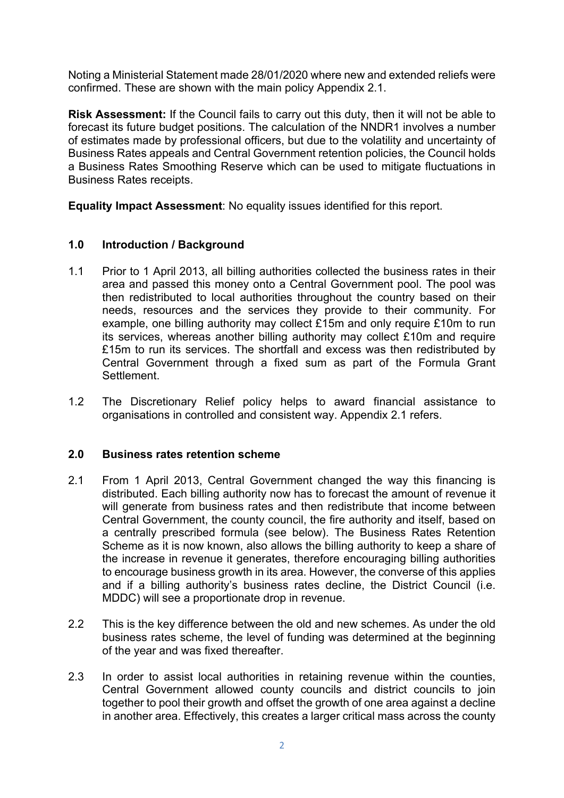Noting a Ministerial Statement made 28/01/2020 where new and extended reliefs were confirmed. These are shown with the main policy Appendix 2.1.

**Risk Assessment:** If the Council fails to carry out this duty, then it will not be able to forecast its future budget positions. The calculation of the NNDR1 involves a number of estimates made by professional officers, but due to the volatility and uncertainty of Business Rates appeals and Central Government retention policies, the Council holds a Business Rates Smoothing Reserve which can be used to mitigate fluctuations in Business Rates receipts.

**Equality Impact Assessment**: No equality issues identified for this report.

# **1.0 Introduction / Background**

- 1.1 Prior to 1 April 2013, all billing authorities collected the business rates in their area and passed this money onto a Central Government pool. The pool was then redistributed to local authorities throughout the country based on their needs, resources and the services they provide to their community. For example, one billing authority may collect £15m and only require £10m to run its services, whereas another billing authority may collect £10m and require £15m to run its services. The shortfall and excess was then redistributed by Central Government through a fixed sum as part of the Formula Grant **Settlement**
- 1.2 The Discretionary Relief policy helps to award financial assistance to organisations in controlled and consistent way. Appendix 2.1 refers.

### **2.0 Business rates retention scheme**

- 2.1 From 1 April 2013, Central Government changed the way this financing is distributed. Each billing authority now has to forecast the amount of revenue it will generate from business rates and then redistribute that income between Central Government, the county council, the fire authority and itself, based on a centrally prescribed formula (see below). The Business Rates Retention Scheme as it is now known, also allows the billing authority to keep a share of the increase in revenue it generates, therefore encouraging billing authorities to encourage business growth in its area. However, the converse of this applies and if a billing authority's business rates decline, the District Council (i.e. MDDC) will see a proportionate drop in revenue.
- 2.2 This is the key difference between the old and new schemes. As under the old business rates scheme, the level of funding was determined at the beginning of the year and was fixed thereafter.
- 2.3 In order to assist local authorities in retaining revenue within the counties, Central Government allowed county councils and district councils to join together to pool their growth and offset the growth of one area against a decline in another area. Effectively, this creates a larger critical mass across the county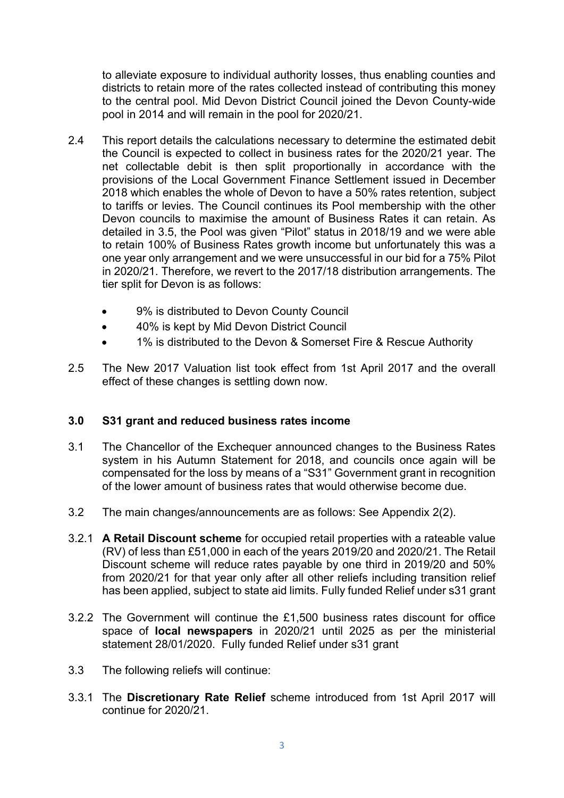to alleviate exposure to individual authority losses, thus enabling counties and districts to retain more of the rates collected instead of contributing this money to the central pool. Mid Devon District Council joined the Devon County-wide pool in 2014 and will remain in the pool for 2020/21.

- 2.4 This report details the calculations necessary to determine the estimated debit the Council is expected to collect in business rates for the 2020/21 year. The net collectable debit is then split proportionally in accordance with the provisions of the Local Government Finance Settlement issued in December 2018 which enables the whole of Devon to have a 50% rates retention, subject to tariffs or levies. The Council continues its Pool membership with the other Devon councils to maximise the amount of Business Rates it can retain. As detailed in 3.5, the Pool was given "Pilot" status in 2018/19 and we were able to retain 100% of Business Rates growth income but unfortunately this was a one year only arrangement and we were unsuccessful in our bid for a 75% Pilot in 2020/21. Therefore, we revert to the 2017/18 distribution arrangements. The tier split for Devon is as follows:
	- 9% is distributed to Devon County Council
	- 40% is kept by Mid Devon District Council
	- 1% is distributed to the Devon & Somerset Fire & Rescue Authority
- 2.5 The New 2017 Valuation list took effect from 1st April 2017 and the overall effect of these changes is settling down now.

# **3.0 S31 grant and reduced business rates income**

- 3.1 The Chancellor of the Exchequer announced changes to the Business Rates system in his Autumn Statement for 2018, and councils once again will be compensated for the loss by means of a "S31" Government grant in recognition of the lower amount of business rates that would otherwise become due.
- 3.2 The main changes/announcements are as follows: See Appendix 2(2).
- 3.2.1 **A Retail Discount scheme** for occupied retail properties with a rateable value (RV) of less than £51,000 in each of the years 2019/20 and 2020/21. The Retail Discount scheme will reduce rates payable by one third in 2019/20 and 50% from 2020/21 for that year only after all other reliefs including transition relief has been applied, subject to state aid limits. Fully funded Relief under s31 grant
- 3.2.2 The Government will continue the £1,500 business rates discount for office space of **local newspapers** in 2020/21 until 2025 as per the ministerial statement 28/01/2020. Fully funded Relief under s31 grant
- 3.3 The following reliefs will continue:
- 3.3.1 The **Discretionary Rate Relief** scheme introduced from 1st April 2017 will continue for 2020/21.